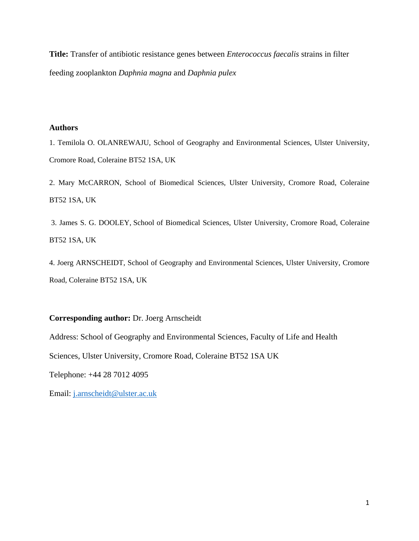**Title:** Transfer of antibiotic resistance genes between *Enterococcus faecalis* strains in filter feeding zooplankton *Daphnia magna* and *Daphnia pulex*

# **Authors**

1. Temilola O. OLANREWAJU, School of Geography and Environmental Sciences, Ulster University, Cromore Road, Coleraine BT52 1SA, UK

2. Mary McCARRON, School of Biomedical Sciences, Ulster University, Cromore Road, Coleraine BT52 1SA, UK

3. James S. G. DOOLEY, School of Biomedical Sciences, Ulster University, Cromore Road, Coleraine BT52 1SA, UK

4. Joerg ARNSCHEIDT, School of Geography and Environmental Sciences, Ulster University, Cromore Road, Coleraine BT52 1SA, UK

# **Corresponding author:** Dr. Joerg Arnscheidt

Address: School of Geography and Environmental Sciences, Faculty of Life and Health

Sciences, Ulster University, Cromore Road, Coleraine BT52 1SA UK

Telephone: [+44 28 7012 4095](tel:+442870124095)

Email: [j.arnscheidt@ulster.ac.uk](mailto:j.arnscheidt@ulster.ac.uk)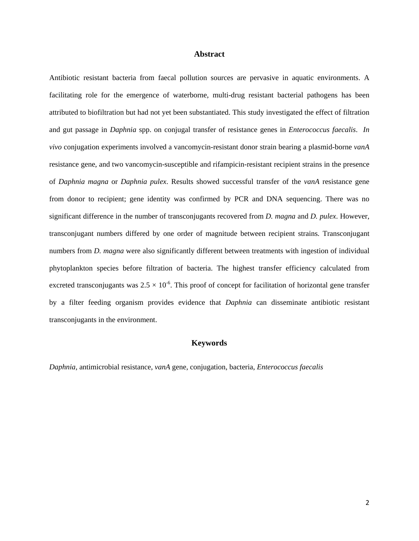## **Abstract**

Antibiotic resistant bacteria from faecal pollution sources are pervasive in aquatic environments. A facilitating role for the emergence of waterborne, multi-drug resistant bacterial pathogens has been attributed to biofiltration but had not yet been substantiated. This study investigated the effect of filtration and gut passage in *Daphnia* spp. on conjugal transfer of resistance genes in *Enterococcus faecalis*. *In vivo* conjugation experiments involved a vancomycin-resistant donor strain bearing a plasmid-borne *vanA* resistance gene, and two vancomycin-susceptible and rifampicin-resistant recipient strains in the presence of *Daphnia magna* or *Daphnia pulex*. Results showed successful transfer of the *vanA* resistance gene from donor to recipient; gene identity was confirmed by PCR and DNA sequencing. There was no significant difference in the number of transconjugants recovered from *D. magna* and *D. pulex*. However, transconjugant numbers differed by one order of magnitude between recipient strains. Transconjugant numbers from *D. magna* were also significantly different between treatments with ingestion of individual phytoplankton species before filtration of bacteria. The highest transfer efficiency calculated from excreted transconjugants was  $2.5 \times 10^{-6}$ . This proof of concept for facilitation of horizontal gene transfer by a filter feeding organism provides evidence that *Daphnia* can disseminate antibiotic resistant transconjugants in the environment.

## **Keywords**

*Daphnia,* antimicrobial resistance, *vanA* gene, conjugation, bacteria, *Enterococcus faecalis*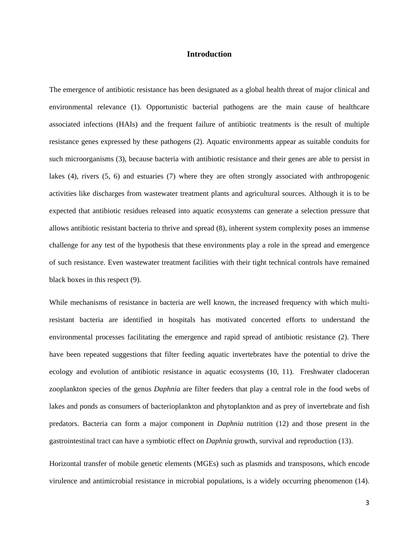# **Introduction**

The emergence of antibiotic resistance has been designated as a global health threat of major clinical and environmental relevance (1). Opportunistic bacterial pathogens are the main cause of healthcare associated infections (HAIs) and the frequent failure of antibiotic treatments is the result of multiple resistance genes expressed by these pathogens (2). Aquatic environments appear as suitable conduits for such microorganisms (3), because bacteria with antibiotic resistance and their genes are able to persist in lakes (4), rivers (5, 6) and estuaries (7) where they are often strongly associated with anthropogenic activities like discharges from wastewater treatment plants and agricultural sources. Although it is to be expected that antibiotic residues released into aquatic ecosystems can generate a selection pressure that allows antibiotic resistant bacteria to thrive and spread (8), inherent system complexity poses an immense challenge for any test of the hypothesis that these environments play a role in the spread and emergence of such resistance. Even wastewater treatment facilities with their tight technical controls have remained black boxes in this respect (9).

While mechanisms of resistance in bacteria are well known, the increased frequency with which multiresistant bacteria are identified in hospitals has motivated concerted efforts to understand the environmental processes facilitating the emergence and rapid spread of antibiotic resistance (2). There have been repeated suggestions that filter feeding aquatic invertebrates have the potential to drive the ecology and evolution of antibiotic resistance in aquatic ecosystems (10, 11). Freshwater cladoceran zooplankton species of the genus *Daphnia* are filter feeders that play a central role in the food webs of lakes and ponds as consumers of bacterioplankton and phytoplankton and as prey of invertebrate and fish predators. Bacteria can form a major component in *Daphnia* nutrition (12) and those present in the gastrointestinal tract can have a symbiotic effect on *Daphnia* growth, survival and reproduction (13).

Horizontal transfer of mobile genetic elements (MGEs) such as plasmids and transposons, which encode virulence and antimicrobial resistance in microbial populations, is a widely occurring phenomenon (14).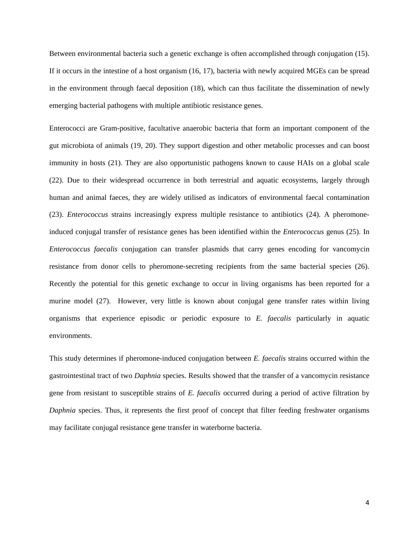Between environmental bacteria such a genetic exchange is often accomplished through conjugation (15). If it occurs in the intestine of a host organism (16, 17), bacteria with newly acquired MGEs can be spread in the environment through faecal deposition (18), which can thus facilitate the dissemination of newly emerging bacterial pathogens with multiple antibiotic resistance genes.

Enterococci are Gram-positive, facultative anaerobic bacteria that form an important component of the gut microbiota of animals (19, 20). They support digestion and other metabolic processes and can boost immunity in hosts (21). They are also opportunistic pathogens known to cause HAIs on a global scale (22). Due to their widespread occurrence in both terrestrial and aquatic ecosystems, largely through human and animal faeces, they are widely utilised as indicators of environmental faecal contamination (23). *Enterococcus* strains increasingly express multiple resistance to antibiotics (24). A pheromoneinduced conjugal transfer of resistance genes has been identified within the *Enterococcus* genus (25). In *Enterococcus faecalis* conjugation can transfer plasmids that carry genes encoding for vancomycin resistance from donor cells to pheromone-secreting recipients from the same bacterial species (26). Recently the potential for this genetic exchange to occur in living organisms has been reported for a murine model (27). However, very little is known about conjugal gene transfer rates within living organisms that experience episodic or periodic exposure to *E. faecalis* particularly in aquatic environments.

This study determines if pheromone-induced conjugation between *E. faecalis* strains occurred within the gastrointestinal tract of two *Daphnia* species. Results showed that the transfer of a vancomycin resistance gene from resistant to susceptible strains of *E. faecalis* occurred during a period of active filtration by *Daphnia* species. Thus, it represents the first proof of concept that filter feeding freshwater organisms may facilitate conjugal resistance gene transfer in waterborne bacteria.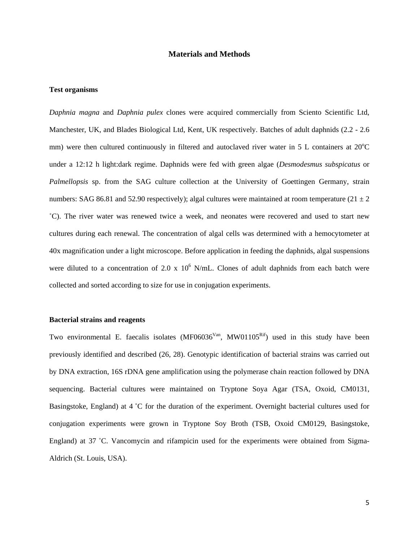# **Materials and Methods**

## **Test organisms**

*Daphnia magna* and *Daphnia pulex* clones were acquired commercially from Sciento Scientific Ltd, Manchester, UK, and Blades Biological Ltd, Kent, UK respectively. Batches of adult daphnids (2.2 - 2.6 mm) were then cultured continuously in filtered and autoclaved river water in 5 L containers at 20°C under a 12:12 h light:dark regime. Daphnids were fed with green algae (*Desmodesmus subspicatus* or *Palmellopsis* sp. from the SAG culture collection at the University of Goettingen Germany, strain numbers: SAG 86.81 and 52.90 respectively); algal cultures were maintained at room temperature ( $21 \pm 2$ ) ˚C). The river water was renewed twice a week, and neonates were recovered and used to start new cultures during each renewal. The concentration of algal cells was determined with a hemocytometer at 40x magnification under a light microscope. Before application in feeding the daphnids, algal suspensions were diluted to a concentration of 2.0 x  $10^6$  N/mL. Clones of adult daphnids from each batch were collected and sorted according to size for use in conjugation experiments.

# **Bacterial strains and reagents**

Two environmental E. faecalis isolates  $(MF06036<sup>Van</sup>, MW01105<sup>Rif</sup>)$  used in this study have been previously identified and described (26, 28). Genotypic identification of bacterial strains was carried out by DNA extraction, 16S rDNA gene amplification using the polymerase chain reaction followed by DNA sequencing. Bacterial cultures were maintained on Tryptone Soya Agar (TSA, Oxoid, CM0131, Basingstoke, England) at 4 ˚C for the duration of the experiment. Overnight bacterial cultures used for conjugation experiments were grown in Tryptone Soy Broth (TSB, Oxoid CM0129, Basingstoke, England) at 37 ˚C. Vancomycin and rifampicin used for the experiments were obtained from Sigma-Aldrich (St. Louis, USA).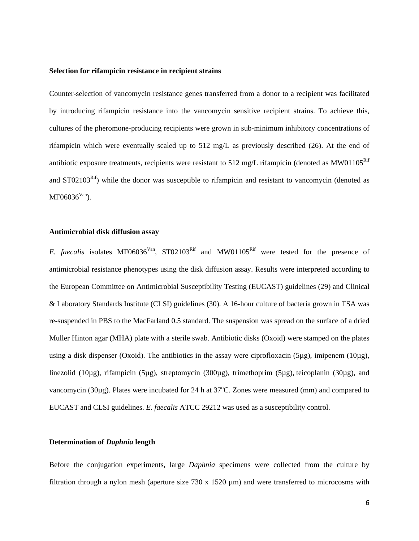### **Selection for rifampicin resistance in recipient strains**

Counter-selection of vancomycin resistance genes transferred from a donor to a recipient was facilitated by introducing rifampicin resistance into the vancomycin sensitive recipient strains. To achieve this, cultures of the pheromone-producing recipients were grown in sub-minimum inhibitory concentrations of rifampicin which were eventually scaled up to 512 mg/L as previously described (26). At the end of antibiotic exposure treatments, recipients were resistant to 512 mg/L rifampicin (denoted as MW01105<sup>Rif</sup> and  $ST02103<sup>Rif</sup>$ ) while the donor was susceptible to rifampicin and resistant to vancomycin (denoted as  $MF06036<sup>Van</sup>$ ).

## **Antimicrobial disk diffusion assay**

*E. faecalis* isolates MF06036<sup>Van</sup>, ST02103<sup>Rif</sup> and MW01105<sup>Rif</sup> were tested for the presence of antimicrobial resistance phenotypes using the disk diffusion assay. Results were interpreted according to the European Committee on Antimicrobial Susceptibility Testing (EUCAST) guidelines (29) and Clinical & Laboratory Standards Institute (CLSI) guidelines (30). A 16-hour culture of bacteria grown in TSA was re-suspended in PBS to the MacFarland 0.5 standard. The suspension was spread on the surface of a dried Muller Hinton agar (MHA) plate with a sterile swab. Antibiotic disks (Oxoid) were stamped on the plates using a disk dispenser (Oxoid). The antibiotics in the assay were ciprofloxacin (5µg), imipenem (10µg), linezolid (10µg), rifampicin (5µg), streptomycin (300µg), trimethoprim (5µg), teicoplanin (30µg), and vancomycin (30µg). Plates were incubated for 24 h at 37°C. Zones were measured (mm) and compared to EUCAST and CLSI guidelines. *E. faecalis* ATCC 29212 was used as a susceptibility control.

## **Determination of** *Daphnia* **length**

Before the conjugation experiments, large *Daphnia* specimens were collected from the culture by filtration through a nylon mesh (aperture size  $730 \times 1520 \mu m$ ) and were transferred to microcosms with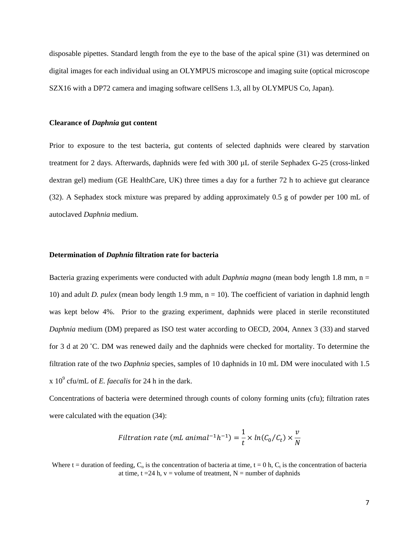disposable pipettes. Standard length from the eye to the base of the apical spine (31) was determined on digital images for each individual using an OLYMPUS microscope and imaging suite (optical microscope SZX16 with a DP72 camera and imaging software cellSens 1.3, all by OLYMPUS Co, Japan).

#### **Clearance of** *Daphnia* **gut content**

Prior to exposure to the test bacteria, gut contents of selected daphnids were cleared by starvation treatment for 2 days. Afterwards, daphnids were fed with 300 µL of sterile Sephadex G-25 (cross-linked dextran gel) medium (GE HealthCare, UK) three times a day for a further 72 h to achieve gut clearance (32). A Sephadex stock mixture was prepared by adding approximately 0.5 g of powder per 100 mL of autoclaved *Daphnia* medium.

### **Determination of** *Daphnia* **filtration rate for bacteria**

Bacteria grazing experiments were conducted with adult *Daphnia magna* (mean body length 1.8 mm, n = 10) and adult *D. pulex* (mean body length 1.9 mm, n = 10). The coefficient of variation in daphnid length was kept below 4%. Prior to the grazing experiment, daphnids were placed in sterile reconstituted *Daphnia* medium (DM) prepared as ISO test water according to OECD, 2004, Annex 3 (33) and starved for 3 d at 20 ˚C. DM was renewed daily and the daphnids were checked for mortality. To determine the filtration rate of the two *Daphnia* species, samples of 10 daphnids in 10 mL DM were inoculated with 1.5  $x 10<sup>9</sup>$  cfu/mL of *E. faecalis* for 24 h in the dark.

Concentrations of bacteria were determined through counts of colony forming units (cfu); filtration rates were calculated with the equation (34):

$$
Filtration\ rate\ (ml\ animal^{-1}h^{-1}) = \frac{1}{t} \times ln(C_0/C_t) \times \frac{v}{N}
$$

Where t = duration of feeding,  $C_0$  is the concentration of bacteria at time, t = 0 h,  $C_t$  is the concentration of bacteria at time,  $t = 24$  h,  $v =$  volume of treatment,  $N =$  number of daphnids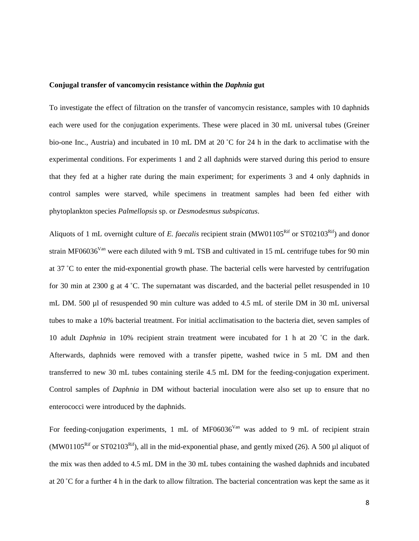#### **Conjugal transfer of vancomycin resistance within the** *Daphnia* **gut**

To investigate the effect of filtration on the transfer of vancomycin resistance, samples with 10 daphnids each were used for the conjugation experiments. These were placed in 30 mL universal tubes (Greiner bio-one Inc., Austria) and incubated in 10 mL DM at 20 ˚C for 24 h in the dark to acclimatise with the experimental conditions. For experiments 1 and 2 all daphnids were starved during this period to ensure that they fed at a higher rate during the main experiment; for experiments 3 and 4 only daphnids in control samples were starved, while specimens in treatment samples had been fed either with phytoplankton species *Palmellopsis* sp. or *Desmodesmus subspicatus*.

Aliquots of 1 mL overnight culture of *E. faecalis* recipient strain (MW01105<sup>Rif</sup> or ST02103<sup>Rif</sup>) and donor strain MF06036<sup>Van</sup> were each diluted with 9 mL TSB and cultivated in 15 mL centrifuge tubes for 90 min at 37 ˚C to enter the mid-exponential growth phase. The bacterial cells were harvested by centrifugation for 30 min at 2300 g at 4 ˚C. The supernatant was discarded, and the bacterial pellet resuspended in 10 mL DM. 500 µl of resuspended 90 min culture was added to 4.5 mL of sterile DM in 30 mL universal tubes to make a 10% bacterial treatment. For initial acclimatisation to the bacteria diet, seven samples of 10 adult *Daphnia* in 10% recipient strain treatment were incubated for 1 h at 20 ˚C in the dark. Afterwards, daphnids were removed with a transfer pipette, washed twice in 5 mL DM and then transferred to new 30 mL tubes containing sterile 4.5 mL DM for the feeding-conjugation experiment. Control samples of *Daphnia* in DM without bacterial inoculation were also set up to ensure that no enterococci were introduced by the daphnids.

For feeding-conjugation experiments, 1 mL of MF06036<sup>Van</sup> was added to 9 mL of recipient strain (MW01105<sup>Rif</sup> or ST02103<sup>Rif</sup>), all in the mid-exponential phase, and gently mixed (26). A 500 µl aliquot of the mix was then added to 4.5 mL DM in the 30 mL tubes containing the washed daphnids and incubated at 20 ˚C for a further 4 h in the dark to allow filtration. The bacterial concentration was kept the same as it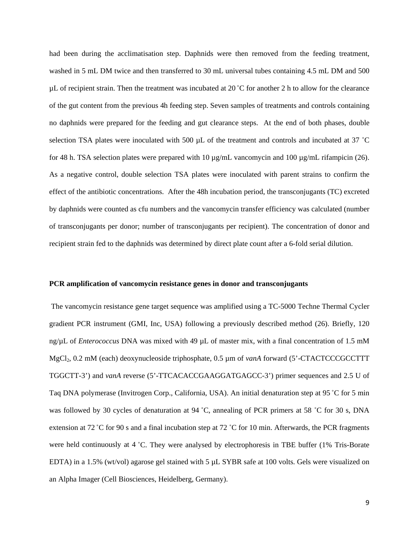had been during the acclimatisation step. Daphnids were then removed from the feeding treatment, washed in 5 mL DM twice and then transferred to 30 mL universal tubes containing 4.5 mL DM and 500  $\mu$ L of recipient strain. Then the treatment was incubated at 20 °C for another 2 h to allow for the clearance of the gut content from the previous 4h feeding step. Seven samples of treatments and controls containing no daphnids were prepared for the feeding and gut clearance steps. At the end of both phases, double selection TSA plates were inoculated with 500 µL of the treatment and controls and incubated at 37 °C for 48 h. TSA selection plates were prepared with 10  $\mu$ g/mL vancomycin and 100  $\mu$ g/mL rifampicin (26). As a negative control, double selection TSA plates were inoculated with parent strains to confirm the effect of the antibiotic concentrations. After the 48h incubation period, the transconjugants (TC) excreted by daphnids were counted as cfu numbers and the vancomycin transfer efficiency was calculated (number of transconjugants per donor; number of transconjugants per recipient). The concentration of donor and recipient strain fed to the daphnids was determined by direct plate count after a 6-fold serial dilution.

#### **PCR amplification of vancomycin resistance genes in donor and transconjugants**

The vancomycin resistance gene target sequence was amplified using a TC-5000 Techne Thermal Cycler gradient PCR instrument (GMI, Inc, USA) following a previously described method (26). Briefly, 120 ng/µL of *Enterococcus* DNA was mixed with 49 µL of master mix, with a final concentration of 1.5 mM MgCl2, 0.2 mM (each) deoxynucleoside triphosphate, 0.5 µm of *vanA* forward (5'-CTACTCCCGCCTTT TGGCTT-3') and *vanA* reverse (5'-TTCACACCGAAGGATGAGCC-3') primer sequences and 2.5 U of Taq DNA polymerase (Invitrogen Corp., California, USA). An initial denaturation step at 95 ˚C for 5 min was followed by 30 cycles of denaturation at 94 °C, annealing of PCR primers at 58 °C for 30 s, DNA extension at 72 ˚C for 90 s and a final incubation step at 72 ˚C for 10 min. Afterwards, the PCR fragments were held continuously at 4 °C. They were analysed by electrophoresis in TBE buffer (1% Tris-Borate EDTA) in a 1.5% (wt/vol) agarose gel stained with 5 µL SYBR safe at 100 volts. Gels were visualized on an Alpha Imager (Cell Biosciences, Heidelberg, Germany).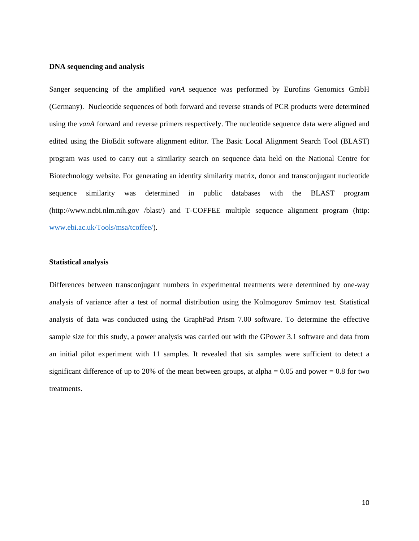### **DNA sequencing and analysis**

Sanger sequencing of the amplified *vanA* sequence was performed by Eurofins Genomics GmbH (Germany). Nucleotide sequences of both forward and reverse strands of PCR products were determined using the *vanA* forward and reverse primers respectively. The nucleotide sequence data were aligned and edited using the BioEdit software alignment editor. The Basic Local Alignment Search Tool (BLAST) program was used to carry out a similarity search on sequence data held on the National Centre for Biotechnology website. For generating an identity similarity matrix, donor and transconjugant nucleotide sequence similarity was determined in public databases with the BLAST program (http://www.ncbi.nlm.nih.gov /blast/) and T-COFFEE multiple sequence alignment program (http: [www.ebi.ac.uk/Tools/msa/tcoffee/\)](http://www.ebi.ac.uk/Tools/msa/tcoffee/).

## **Statistical analysis**

Differences between transconjugant numbers in experimental treatments were determined by one-way analysis of variance after a test of normal distribution using the Kolmogorov Smirnov test. Statistical analysis of data was conducted using the GraphPad Prism 7.00 software. To determine the effective sample size for this study, a power analysis was carried out with the GPower 3.1 software and data from an initial pilot experiment with 11 samples. It revealed that six samples were sufficient to detect a significant difference of up to 20% of the mean between groups, at alpha  $= 0.05$  and power  $= 0.8$  for two treatments.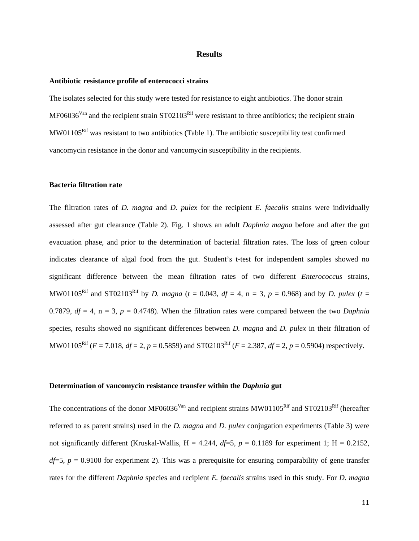## **Results**

#### **Antibiotic resistance profile of enterococci strains**

The isolates selected for this study were tested for resistance to eight antibiotics. The donor strain  $MF06036<sup>Van</sup>$  and the recipient strain ST02103<sup>Rif</sup> were resistant to three antibiotics; the recipient strain  $MW01105<sup>Rif</sup>$  was resistant to two antibiotics (Table 1). The antibiotic susceptibility test confirmed vancomycin resistance in the donor and vancomycin susceptibility in the recipients.

## **Bacteria filtration rate**

The filtration rates of *D. magna* and *D. pulex* for the recipient *E. faecalis* strains were individually assessed after gut clearance (Table 2). Fig. 1 shows an adult *Daphnia magna* before and after the gut evacuation phase, and prior to the determination of bacterial filtration rates. The loss of green colour indicates clearance of algal food from the gut. Student's t-test for independent samples showed no significant difference between the mean filtration rates of two different *Enterococcus* strains, MW01105<sup>Rif</sup> and ST02103<sup>Rif</sup> by *D. magna* ( $t = 0.043$ ,  $df = 4$ ,  $n = 3$ ,  $p = 0.968$ ) and by *D. pulex* ( $t =$ 0.7879,  $df = 4$ ,  $n = 3$ ,  $p = 0.4748$ ). When the filtration rates were compared between the two *Daphnia* species, results showed no significant differences between *D. magna* and *D. pulex* in their filtration of MW01105<sup>Rif</sup> ( $F = 7.018$ ,  $df = 2$ ,  $p = 0.5859$ ) and ST02103<sup>Rif</sup> ( $F = 2.387$ ,  $df = 2$ ,  $p = 0.5904$ ) respectively.

#### **Determination of vancomycin resistance transfer within the** *Daphnia* **gut**

The concentrations of the donor MF06036<sup>Van</sup> and recipient strains MW01105<sup>Rif</sup> and ST02103<sup>Rif</sup> (hereafter referred to as parent strains) used in the *D. magna* and *D. pulex* conjugation experiments (Table 3) were not significantly different (Kruskal-Wallis,  $H = 4.244$ ,  $df=5$ ,  $p = 0.1189$  for experiment 1;  $H = 0.2152$ ,  $df=5$ ,  $p = 0.9100$  for experiment 2). This was a prerequisite for ensuring comparability of gene transfer rates for the different *Daphnia* species and recipient *E. faecalis* strains used in this study. For *D. magna*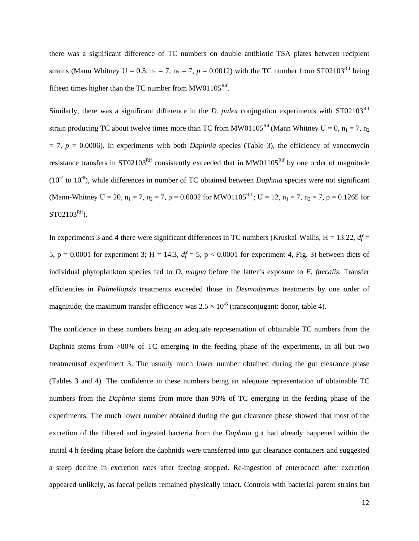there was a significant difference of TC numbers on double antibiotic TSA plates between recipient strains (Mann Whitney U = 0.5,  $n_1 = 7$ ,  $n_2 = 7$ ,  $p = 0.0012$ ) with the TC number from ST02103<sup>Rif</sup> being fifteen times higher than the TC number from  $MW01105<sup>Rif</sup>$ .

Similarly, there was a significant difference in the *D. pulex* conjugation experiments with  $ST02103<sup>Rif</sup>$ strain producing TC about twelve times more than TC from MW01105<sup>Rif</sup> (Mann Whitney U = 0, n<sub>1</sub> = 7, n<sub>2</sub>  $= 7$ ,  $p = 0.0006$ ). In experiments with both *Daphnia* species (Table 3), the efficiency of vancomycin resistance transfers in ST02103<sup>Rif</sup> consistently exceeded that in MW01105<sup>Rif</sup> by one order of magnitude  $(10<sup>7</sup>$  to  $10<sup>-8</sup>$ ), while differences in number of TC obtained between *Daphnia* species were not significant (Mann-Whitney U = 20,  $n_1 = 7$ ,  $n_2 = 7$ ,  $p = 0.6002$  for MW01105<sup>Rif</sup>; U = 12,  $n_1 = 7$ ,  $n_2 = 7$ ,  $p = 0.1265$  for  $ST02103<sup>Rif</sup>$ ).

In experiments 3 and 4 there were significant differences in TC numbers (Kruskal-Wallis,  $H = 13.22$ ,  $df =$ 5, p = 0.0001 for experiment 3; H = 14.3,  $df = 5$ , p < 0.0001 for experiment 4, Fig. 3) between diets of individual phytoplankton species fed to *D. magna* before the latter's exposure to *E. faecalis*. Transfer efficiencies in *Palmellopsis* treatments exceeded those in *Desmodesmus* treatments by one order of magnitude; the maximum transfer efficiency was  $2.5 \times 10^{-6}$  (transconjugant: donor, table 4).

The confidence in these numbers being an adequate representation of obtainable TC numbers from the Daphnia stems from >80% of TC emerging in the feeding phase of the experiments, in all but two treatmentsof experiment 3. The usually much lower number obtained during the gut clearance phase (Tables 3 and 4). The confidence in these numbers being an adequate representation of obtainable TC numbers from the *Daphnia* stems from more than 90% of TC emerging in the feeding phase of the experiments. The much lower number obtained during the gut clearance phase showed that most of the excretion of the filtered and ingested bacteria from the *Daphnia* gut had already happened within the initial 4 h feeding phase before the daphnids were transferred into gut clearance containers and suggested a steep decline in excretion rates after feeding stopped. Re-ingestion of enterococci after excretion appeared unlikely, as faecal pellets remained physically intact. Controls with bacterial parent strains but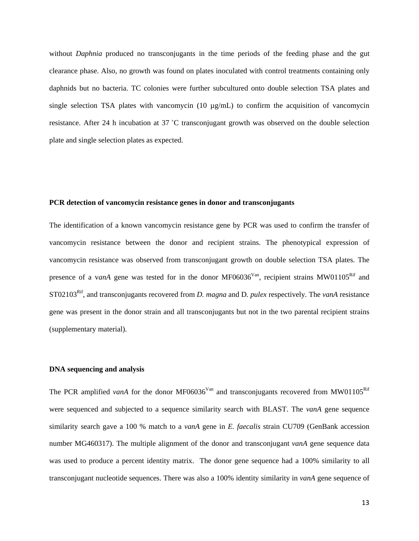without *Daphnia* produced no transconjugants in the time periods of the feeding phase and the gut clearance phase. Also, no growth was found on plates inoculated with control treatments containing only daphnids but no bacteria. TC colonies were further subcultured onto double selection TSA plates and single selection TSA plates with vancomycin  $(10 \mu g/mL)$  to confirm the acquisition of vancomycin resistance. After 24 h incubation at 37 ˚C transconjugant growth was observed on the double selection plate and single selection plates as expected.

## **PCR detection of vancomycin resistance genes in donor and transconjugants**

The identification of a known vancomycin resistance gene by PCR was used to confirm the transfer of vancomycin resistance between the donor and recipient strains. The phenotypical expression of vancomycin resistance was observed from transconjugant growth on double selection TSA plates. The presence of a v*anA* gene was tested for in the donor MF06036<sup>Van</sup>, recipient strains MW01105<sup>Rif</sup> and ST02103Rif, and transconjugants recovered from *D. magna* and D*. pulex* respectively. The *vanA* resistance gene was present in the donor strain and all transconjugants but not in the two parental recipient strains (supplementary material).

## **DNA sequencing and analysis**

The PCR amplified *vanA* for the donor MF06036<sup>Van</sup> and transconjugants recovered from MW01105<sup>Rif</sup> were sequenced and subjected to a sequence similarity search with BLAST. The *vanA* gene sequence similarity search gave a 100 % match to a *vanA* gene in *E. faecalis* strain CU709 (GenBank accession number MG460317). The multiple alignment of the donor and transconjugant *vanA* gene sequence data was used to produce a percent identity matrix. The donor gene sequence had a 100% similarity to all transconjugant nucleotide sequences. There was also a 100% identity similarity in *vanA* gene sequence of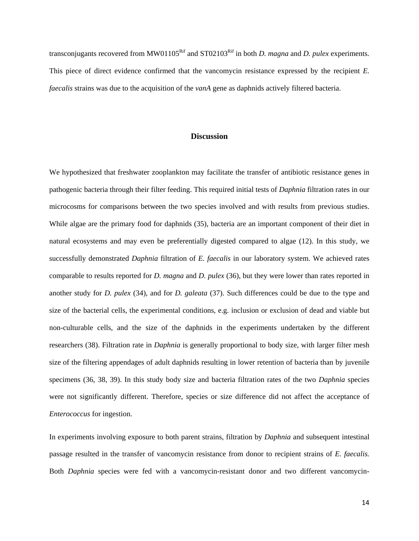transconjugants recovered from MW01105<sup>Rif</sup> and ST02103<sup>Rif</sup> in both *D. magna* and *D. pulex* experiments. This piece of direct evidence confirmed that the vancomycin resistance expressed by the recipient *E. faecalis* strains was due to the acquisition of the *vanA* gene as daphnids actively filtered bacteria.

# **Discussion**

We hypothesized that freshwater zooplankton may facilitate the transfer of antibiotic resistance genes in pathogenic bacteria through their filter feeding. This required initial tests of *Daphnia* filtration rates in our microcosms for comparisons between the two species involved and with results from previous studies. While algae are the primary food for daphnids (35), bacteria are an important component of their diet in natural ecosystems and may even be preferentially digested compared to algae (12). In this study, we successfully demonstrated *Daphnia* filtration of *E. faecalis* in our laboratory system. We achieved rates comparable to results reported for *D. magna* and *D. pulex* (36), but they were lower than rates reported in another study for *D. pulex* (34), and for *D. galeata* (37). Such differences could be due to the type and size of the bacterial cells, the experimental conditions, e.g. inclusion or exclusion of dead and viable but non-culturable cells, and the size of the daphnids in the experiments undertaken by the different researchers (38). Filtration rate in *Daphnia* is generally proportional to body size, with larger filter mesh size of the filtering appendages of adult daphnids resulting in lower retention of bacteria than by juvenile specimens (36, 38, 39). In this study body size and bacteria filtration rates of the two *Daphnia* species were not significantly different. Therefore, species or size difference did not affect the acceptance of *Enterococcus* for ingestion.

In experiments involving exposure to both parent strains, filtration by *Daphnia* and subsequent intestinal passage resulted in the transfer of vancomycin resistance from donor to recipient strains of *E. faecalis.* Both *Daphnia* species were fed with a vancomycin-resistant donor and two different vancomycin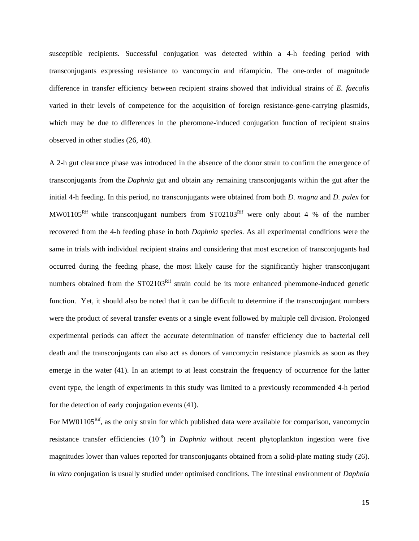susceptible recipients. Successful conjugation was detected within a 4-h feeding period with transconjugants expressing resistance to vancomycin and rifampicin. The one-order of magnitude difference in transfer efficiency between recipient strains showed that individual strains of *E. faecalis* varied in their levels of competence for the acquisition of foreign resistance-gene-carrying plasmids, which may be due to differences in the pheromone-induced conjugation function of recipient strains observed in other studies (26, 40).

A 2-h gut clearance phase was introduced in the absence of the donor strain to confirm the emergence of transconjugants from the *Daphnia* gut and obtain any remaining transconjugants within the gut after the initial 4-h feeding. In this period, no transconjugants were obtained from both *D. magna* and *D. pulex* for MW01105<sup>Rif</sup> while transconjugant numbers from  $ST02103<sup>Rif</sup>$  were only about 4 % of the number recovered from the 4-h feeding phase in both *Daphnia* species. As all experimental conditions were the same in trials with individual recipient strains and considering that most excretion of transconjugants had occurred during the feeding phase, the most likely cause for the significantly higher transconjugant numbers obtained from the ST02103<sup>Rif</sup> strain could be its more enhanced pheromone-induced genetic function. Yet, it should also be noted that it can be difficult to determine if the transconjugant numbers were the product of several transfer events or a single event followed by multiple cell division. Prolonged experimental periods can affect the accurate determination of transfer efficiency due to bacterial cell death and the transconjugants can also act as donors of vancomycin resistance plasmids as soon as they emerge in the water (41). In an attempt to at least constrain the frequency of occurrence for the latter event type, the length of experiments in this study was limited to a previously recommended 4-h period for the detection of early conjugation events (41).

For MW01105<sup>Rif</sup>, as the only strain for which published data were available for comparison, vancomycin resistance transfer efficiencies (10<sup>-8</sup>) in *Daphnia* without recent phytoplankton ingestion were five magnitudes lower than values reported for transconjugants obtained from a solid-plate mating study (26). *In vitro* conjugation is usually studied under optimised conditions. The intestinal environment of *Daphnia*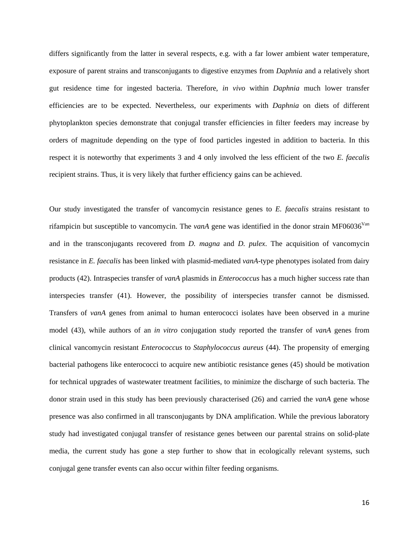differs significantly from the latter in several respects, e.g. with a far lower ambient water temperature, exposure of parent strains and transconjugants to digestive enzymes from *Daphnia* and a relatively short gut residence time for ingested bacteria. Therefore, *in vivo* within *Daphnia* much lower transfer efficiencies are to be expected. Nevertheless, our experiments with *Daphnia* on diets of different phytoplankton species demonstrate that conjugal transfer efficiencies in filter feeders may increase by orders of magnitude depending on the type of food particles ingested in addition to bacteria. In this respect it is noteworthy that experiments 3 and 4 only involved the less efficient of the two *E. faecalis* recipient strains. Thus, it is very likely that further efficiency gains can be achieved.

Our study investigated the transfer of vancomycin resistance genes to *E. faecalis* strains resistant to rifampicin but susceptible to vancomycin. The *vanA* gene was identified in the donor strain MF06036<sup>Van</sup> and in the transconjugants recovered from *D. magna* and *D. pulex*. The acquisition of vancomycin resistance in *E. faecalis* has been linked with plasmid-mediated *vanA*-type phenotypes isolated from dairy products (42). Intraspecies transfer of *vanA* plasmids in *Enterococcus* has a much higher success rate than interspecies transfer (41). However, the possibility of interspecies transfer cannot be dismissed. Transfers of *vanA* genes from animal to human enterococci isolates have been observed in a murine model (43), while authors of an *in vitro* conjugation study reported the transfer of *vanA* genes from clinical vancomycin resistant *Enterococcus* to *Staphylococcus aureus* (44). The propensity of emerging bacterial pathogens like enterococci to acquire new antibiotic resistance genes (45) should be motivation for technical upgrades of wastewater treatment facilities, to minimize the discharge of such bacteria. The donor strain used in this study has been previously characterised (26) and carried the *vanA* gene whose presence was also confirmed in all transconjugants by DNA amplification. While the previous laboratory study had investigated conjugal transfer of resistance genes between our parental strains on solid-plate media, the current study has gone a step further to show that in ecologically relevant systems, such conjugal gene transfer events can also occur within filter feeding organisms.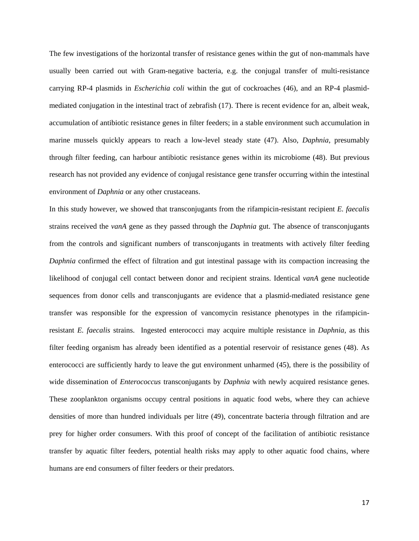The few investigations of the horizontal transfer of resistance genes within the gut of non-mammals have usually been carried out with Gram-negative bacteria, e.g. the conjugal transfer of multi-resistance carrying RP-4 plasmids in *Escherichia coli* within the gut of cockroaches (46), and an RP-4 plasmidmediated conjugation in the intestinal tract of zebrafish (17). There is recent evidence for an, albeit weak, accumulation of antibiotic resistance genes in filter feeders; in a stable environment such accumulation in marine mussels quickly appears to reach a low-level steady state (47). Also, *Daphnia*, presumably through filter feeding, can harbour antibiotic resistance genes within its microbiome (48). But previous research has not provided any evidence of conjugal resistance gene transfer occurring within the intestinal environment of *Daphnia* or any other crustaceans.

In this study however, we showed that transconjugants from the rifampicin-resistant recipient *E. faecalis* strains received the *vanA* gene as they passed through the *Daphnia* gut. The absence of transconjugants from the controls and significant numbers of transconjugants in treatments with actively filter feeding *Daphnia* confirmed the effect of filtration and gut intestinal passage with its compaction increasing the likelihood of conjugal cell contact between donor and recipient strains. Identical *vanA* gene nucleotide sequences from donor cells and transconjugants are evidence that a plasmid-mediated resistance gene transfer was responsible for the expression of vancomycin resistance phenotypes in the rifampicinresistant *E. faecalis* strains. Ingested enterococci may acquire multiple resistance in *Daphnia*, as this filter feeding organism has already been identified as a potential reservoir of resistance genes (48). As enterococci are sufficiently hardy to leave the gut environment unharmed (45), there is the possibility of wide dissemination of *Enterococcus* transconjugants by *Daphnia* with newly acquired resistance genes. These zooplankton organisms occupy central positions in aquatic food webs, where they can achieve densities of more than hundred individuals per litre (49), concentrate bacteria through filtration and are prey for higher order consumers. With this proof of concept of the facilitation of antibiotic resistance transfer by aquatic filter feeders, potential health risks may apply to other aquatic food chains, where humans are end consumers of filter feeders or their predators.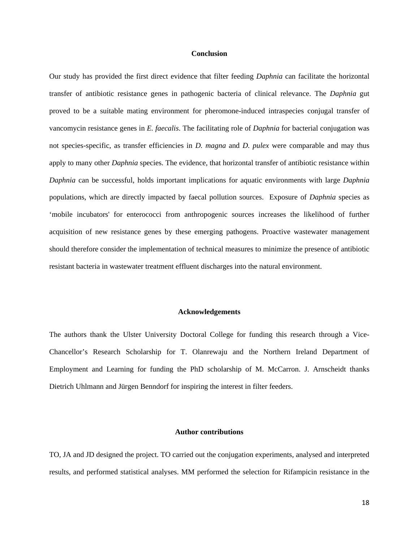#### **Conclusion**

Our study has provided the first direct evidence that filter feeding *Daphnia* can facilitate the horizontal transfer of antibiotic resistance genes in pathogenic bacteria of clinical relevance. The *Daphnia* gut proved to be a suitable mating environment for pheromone-induced intraspecies conjugal transfer of vancomycin resistance genes in *E. faecalis*. The facilitating role of *Daphnia* for bacterial conjugation was not species-specific, as transfer efficiencies in *D. magna* and *D. pulex* were comparable and may thus apply to many other *Daphnia* species. The evidence, that horizontal transfer of antibiotic resistance within *Daphnia* can be successful, holds important implications for aquatic environments with large *Daphnia* populations, which are directly impacted by faecal pollution sources. Exposure of *Daphnia* species as 'mobile incubators' for enterococci from anthropogenic sources increases the likelihood of further acquisition of new resistance genes by these emerging pathogens. Proactive wastewater management should therefore consider the implementation of technical measures to minimize the presence of antibiotic resistant bacteria in wastewater treatment effluent discharges into the natural environment.

#### **Acknowledgements**

The authors thank the Ulster University Doctoral College for funding this research through a Vice-Chancellor's Research Scholarship for T. Olanrewaju and the Northern Ireland Department of Employment and Learning for funding the PhD scholarship of M. McCarron. J. Arnscheidt thanks Dietrich Uhlmann and Jürgen Benndorf for inspiring the interest in filter feeders.

# **Author contributions**

TO, JA and JD designed the project. TO carried out the conjugation experiments, analysed and interpreted results, and performed statistical analyses. MM performed the selection for Rifampicin resistance in the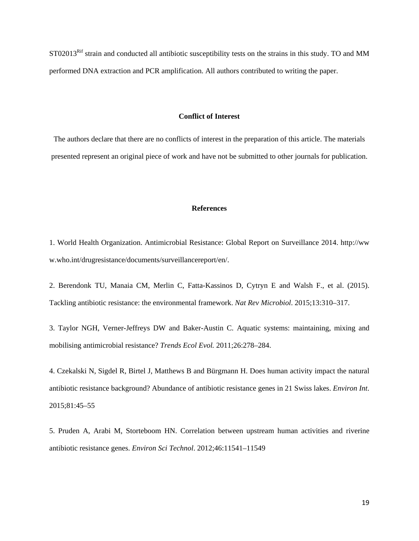ST02013<sup>Rif</sup> strain and conducted all antibiotic susceptibility tests on the strains in this study. TO and MM performed DNA extraction and PCR amplification. All authors contributed to writing the paper.

## **Conflict of Interest**

The authors declare that there are no conflicts of interest in the preparation of this article. The materials presented represent an original piece of work and have not be submitted to other journals for publication.

# **References**

1. World Health Organization. Antimicrobial Resistance: Global Report on Surveillance 2014. http://ww w.who.int/drugresistance/documents/surveillancereport/en/.

2. Berendonk TU, Manaia CM, Merlin C, Fatta-Kassinos D, Cytryn E and Walsh F., et al. (2015). Tackling antibiotic resistance: the environmental framework. *Nat Rev Microbiol*. 2015;13:310–317.

3. Taylor NGH, Verner-Jeffreys DW and Baker-Austin C. Aquatic systems: maintaining, mixing and mobilising antimicrobial resistance? *Trends Ecol Evol.* 2011;26:278–284.

4. Czekalski N, Sigdel R, Birtel J, Matthews B and Bürgmann H. Does human activity impact the natural antibiotic resistance background? Abundance of antibiotic resistance genes in 21 Swiss lakes. *Environ Int*. 2015;81:45–55

5. Pruden A, Arabi M, Storteboom HN. Correlation between upstream human activities and riverine antibiotic resistance genes. *Environ Sci Technol*. 2012;46:11541–11549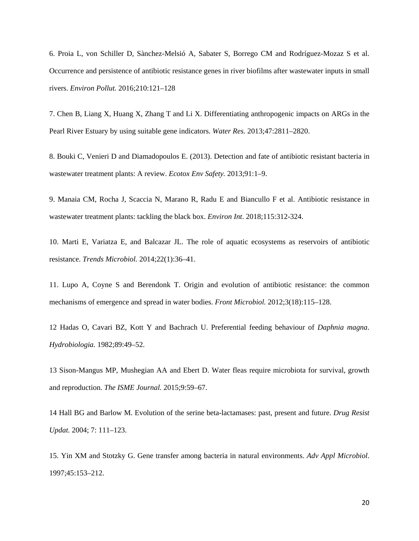6. Proia L, von Schiller D, Sànchez-Melsió A, Sabater S, Borrego CM and Rodríguez-Mozaz S et al. Occurrence and persistence of antibiotic resistance genes in river biofilms after wastewater inputs in small rivers. *Environ Pollut.* 2016;210:121–128

7. Chen B, Liang X, Huang X, Zhang T and Li X. Differentiating anthropogenic impacts on ARGs in the Pearl River Estuary by using suitable gene indicators. *Water Res.* 2013;47:2811–2820.

8. Bouki C, Venieri D and Diamadopoulos E. (2013). Detection and fate of antibiotic resistant bacteria in wastewater treatment plants: A review. *Ecotox Env Safety.* 2013;91:1–9.

9. Manaia CM, Rocha J, Scaccia N, Marano R, Radu E and Biancullo F et al. Antibiotic resistance in wastewater treatment plants: tackling the black box. *Environ Int*. 2018;115:312-324.

10. Marti E, Variatza E, and Balcazar JL. The role of aquatic ecosystems as reservoirs of antibiotic resistance. *Trends Microbiol.* 2014;22(1):36–41.

11. Lupo A, Coyne S and Berendonk T. Origin and evolution of antibiotic resistance: the common mechanisms of emergence and spread in water bodies. *Front Microbiol.* 2012;3(18):115–128.

12 Hadas O, Cavari BZ, Kott Y and Bachrach U. Preferential feeding behaviour of *Daphnia magna*. *Hydrobiologia.* 1982;89:49–52.

13 Sison-Mangus MP, Mushegian AA and Ebert D. Water fleas require microbiota for survival, growth and reproduction. *The ISME Journal.* 2015;9:59–67.

14 Hall BG and Barlow M. Evolution of the serine beta-lactamases: past, present and future. *Drug Resist Updat.* 2004; 7: 111–123.

15. Yin XM and Stotzky G. Gene transfer among bacteria in natural environments. *Adv Appl Microbiol*. 1997;45:153–212.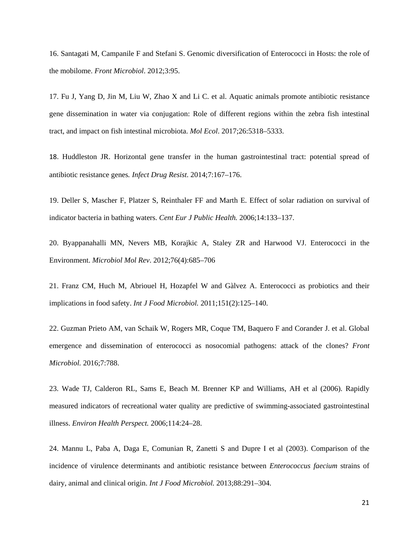16. Santagati M, Campanile F and Stefani S. Genomic diversification of Enterococci in Hosts: the role of the mobilome. *Front Microbiol*. 2012;3:95.

17. Fu J, Yang D, Jin M, Liu W, Zhao X and Li C. et al. Aquatic animals promote antibiotic resistance gene dissemination in water via conjugation: Role of different regions within the zebra fish intestinal tract, and impact on fish intestinal microbiota. *Mol Ecol*. 2017;26:5318–5333.

18. Huddleston JR. Horizontal gene transfer in the human gastrointestinal tract: potential spread of antibiotic resistance genes*. Infect Drug Resist*. 2014;7:167–176.

19. Deller S, Mascher F, Platzer S, Reinthaler FF and Marth E. Effect of solar radiation on survival of indicator bacteria in bathing waters. *Cent Eur J Public Health.* 2006;14:133–137.

20. Byappanahalli MN, Nevers MB, Korajkic A, Staley ZR and Harwood VJ. Enterococci in the Environment. *Microbiol Mol Rev*. 2012;76(4):685–706

21. Franz CM, Huch M, Abriouel H, Hozapfel W and Gàlvez A. Enterococci as probiotics and their implications in food safety. *Int J Food Microbiol.* 2011;151(2):125–140.

22. Guzman Prieto AM, van Schaik W, Rogers MR, Coque TM, Baquero F and Corander J. et al. Global emergence and dissemination of enterococci as nosocomial pathogens: attack of the clones? *Front Microbiol.* 2016;7:788.

23. Wade TJ, Calderon RL, Sams E, Beach M. Brenner KP and Williams, AH et al (2006). Rapidly measured indicators of recreational water quality are predictive of swimming-associated gastrointestinal illness. *Environ Health Perspect.* 2006;114:24–28.

24. Mannu L, Paba A, Daga E, Comunian R, Zanetti S and Dupre I et al (2003). Comparison of the incidence of virulence determinants and antibiotic resistance between *Enterococcus faecium* strains of dairy, animal and clinical origin. *Int J Food Microbiol.* 2013;88:291–304.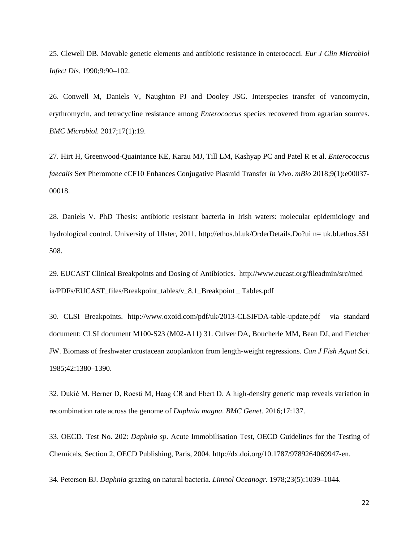25. Clewell DB. Movable genetic elements and antibiotic resistance in enterococci. *Eur J Clin Microbiol Infect Dis*. 1990;9:90–102.

26. Conwell M, Daniels V, Naughton PJ and Dooley JSG. Interspecies transfer of vancomycin, erythromycin, and tetracycline resistance among *Enterococcus* species recovered from agrarian sources[.](https://www.researchgate.net/publication/312511096_Interspecies_transfer_of_vancomycin_erythromycin_and_tetracycline_resistance_among_Enterococcus_species_recovered_from_agrarian_sources?ev=prf_high) *BMC Microbiol.* 2017;17(1):19.

27. Hirt H, Greenwood-Quaintance KE, Karau MJ, Till LM, Kashyap PC and Patel R et al. *Enterococcus faecalis* Sex Pheromone cCF10 Enhances Conjugative Plasmid Transfer *In Vivo*. *mBio* 2018;9(1):e00037- 00018.

28. Daniels V. PhD Thesis: antibiotic resistant bacteria in Irish waters: molecular epidemiology and hydrological control. University of Ulster, 2011. [http://ethos.bl.uk/OrderDetails.Do?ui n= uk.bl.ethos.551](http://ethos.bl.uk/OrderDetails.Do?ui%20n=%20uk.bl.ethos.551%20508)  [508.](http://ethos.bl.uk/OrderDetails.Do?ui%20n=%20uk.bl.ethos.551%20508)

29. EUCAST Clinical Breakpoints and Dosing of Antibiotics. [http://www.eucast.org/fileadmin/src/med](http://www.eucast.org/fileadmin/src/med%20ia/PDFs/EUCAST_files/Breakpoint_tables/v_8.1_Breakpoint%20_%20Tables.pdf)  [ia/PDFs/EUCAST\\_files/Breakpoint\\_tables/v\\_8.1\\_Breakpoint](http://www.eucast.org/fileadmin/src/med%20ia/PDFs/EUCAST_files/Breakpoint_tables/v_8.1_Breakpoint%20_%20Tables.pdf) \_ Tables.pdf

30. CLSI Breakpoints. <http://www.oxoid.com/pdf/uk/2013-CLSIFDA-table-update.pdf>via standard document: CLSI document M100-S23 (M02-A11) 31. Culver DA, Boucherle MM, Bean DJ, and Fletcher JW. Biomass of freshwater crustacean zooplankton from length-weight regressions. *Can J Fish Aquat Sci*. 1985;42:1380–1390.

32. Dukić M, Berner D, Roesti M, Haag CR and Ebert D. A high-density genetic map reveals variation in recombination rate across the genome of *Daphnia magna*. *BMC Genet.* 2016;17:137.

33. OECD. Test No. 202: *Daphnia sp*. Acute Immobilisation Test, OECD Guidelines for the Testing of Chemicals, Section 2, OECD Publishing, Paris, 2004. http://dx.doi.org/10.1787/9789264069947-en.

34. Peterson BJ. *Daphnia* grazing on natural bacteria. *Limnol Oceanogr.* 1978;23(5):1039–1044.

22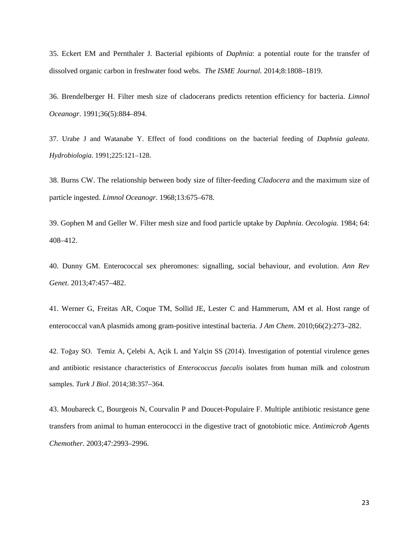35. Eckert EM and Pernthaler J. Bacterial epibionts of *Daphnia*: a potential route for the transfer of dissolved organic carbon in freshwater food webs. *The ISME Journal.* 2014;8:1808–1819.

36. Brendelberger H. Filter mesh size of cladocerans predicts retention efficiency for bacteria. *Limnol Oceanogr*. 1991;36(5):884–894.

37. Urabe J and Watanabe Y. Effect of food conditions on the bacterial feeding of *Daphnia galeata*. *Hydrobiologia*. 1991;225:121–128.

38. Burns CW. The relationship between body size of filter-feeding *Cladocera* and the maximum size of particle ingested. *Limnol Oceanogr*. 1968;13:675–678.

39. Gophen M and Geller W. Filter mesh size and food particle uptake by *Daphnia*. *Oecologia.* 1984; 64: 408–412.

40. Dunny GM. Enterococcal sex pheromones: signalling, social behaviour, and evolution. *Ann Rev Genet*. 2013;47:457–482.

41. Werner G, Freitas AR, Coque TM, Sollid JE, Lester C and Hammerum, AM et al. Host range of enterococcal vanA plasmids among gram-positive intestinal bacteria. *J Am Chem*. 2010;66(2):273–282.

42. Toğay SO. Temiz A, Çelebi A, Açik L and Yalçin SS (2014). Investigation of potential virulence genes and antibiotic resistance characteristics of *Enterococcus faecalis* isolates from human milk and colostrum samples. *Turk J Biol*. 2014;38:357–364.

43. Moubareck C, Bourgeois N, Courvalin P and Doucet-Populaire F. Multiple antibiotic resistance gene transfers from animal to human enterococci in the digestive tract of gnotobiotic mice. *Antimicrob Agents Chemother.* 2003;47:2993–2996.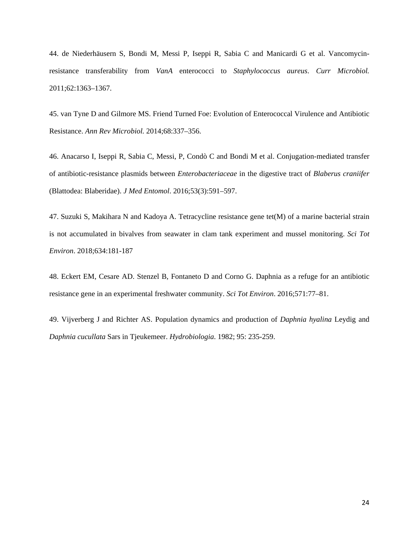44. de Niederhäusern S, Bondi M, Messi P, Iseppi R, Sabia C and Manicardi G et al. Vancomycinresistance transferability from *VanA* enterococci to *Staphylococcus aureus*. *Curr Microbiol.*  2011;62:1363–1367.

45. van Tyne D and Gilmore MS. Friend Turned Foe: Evolution of Enterococcal Virulence and Antibiotic Resistance. *Ann Rev Microbiol.* 2014;68:337–356.

46. Anacarso I, Iseppi R, Sabia C, Messi, P, Condò C and Bondi M et al. Conjugation-mediated transfer of antibiotic-resistance plasmids between *Enterobacteriaceae* in the digestive tract of *Blaberus craniifer* (Blattodea: Blaberidae). *J Med Entomol*. 2016;53(3):591–597.

47. Suzuki S, Makihara N and Kadoya A. Tetracycline resistance gene tet(M) of a marine bacterial strain is not accumulated in bivalves from seawater in clam tank experiment and mussel monitoring. *Sci Tot Environ*. 2018;634:181-187

48. Eckert EM, Cesare AD. Stenzel B, Fontaneto D and Corno G. Daphnia as a refuge for an antibiotic resistance gene in an experimental freshwater community. *Sci Tot Environ*. 2016;571:77–81.

49. Vijverberg J and Richter AS. Population dynamics and production of *Daphnia hyalina* Leydig and *Daphnia cucullata* Sars in Tjeukemeer. *Hydrobiologia*. 1982; 95: 235-259.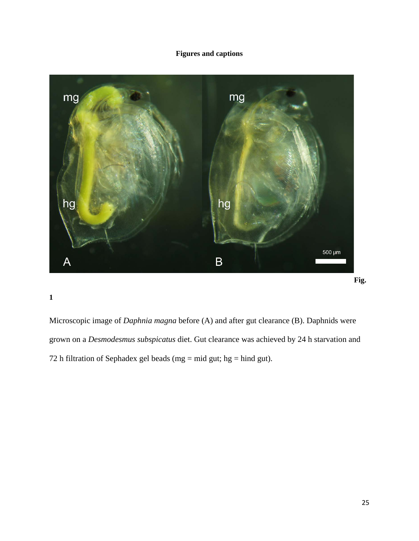# **Figures and captions**



**1**

Microscopic image of *Daphnia magna* before (A) and after gut clearance (B). Daphnids were grown on a *Desmodesmus subspicatus* diet. Gut clearance was achieved by 24 h starvation and 72 h filtration of Sephadex gel beads (mg = mid gut; hg = hind gut).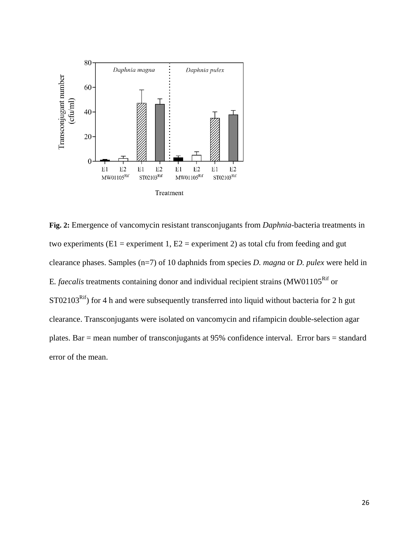

**Fig. 2:** Emergence of vancomycin resistant transconjugants from *Daphnia*-bacteria treatments in two experiments ( $E1$  = experiment 1,  $E2$  = experiment 2) as total cfu from feeding and gut clearance phases. Samples (n=7) of 10 daphnids from species *D. magna* or *D. pulex* were held in E. *faecalis* treatments containing donor and individual recipient strains (MW01105<sup>Rif</sup> or ST02103<sup>Rif</sup>) for 4 h and were subsequently transferred into liquid without bacteria for 2 h gut clearance. Transconjugants were isolated on vancomycin and rifampicin double-selection agar plates. Bar = mean number of transconjugants at 95% confidence interval. Error bars = standard error of the mean.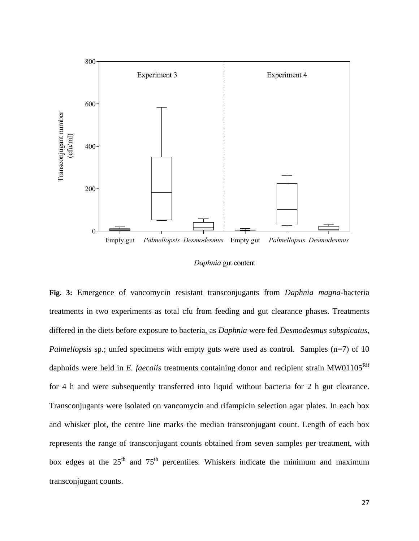

Daphnia gut content

**Fig. 3:** Emergence of vancomycin resistant transconjugants from *Daphnia magna*-bacteria treatments in two experiments as total cfu from feeding and gut clearance phases. Treatments differed in the diets before exposure to bacteria, as *Daphnia* were fed *Desmodesmus subspicatus*, *Palmellopsis* sp.; unfed specimens with empty guts were used as control. Samples (n=7) of 10 daphnids were held in *E. faecalis* treatments containing donor and recipient strain MW01105<sup>Rif</sup> for 4 h and were subsequently transferred into liquid without bacteria for 2 h gut clearance. Transconjugants were isolated on vancomycin and rifampicin selection agar plates. In each box and whisker plot, the centre line marks the median transconjugant count. Length of each box represents the range of transconjugant counts obtained from seven samples per treatment, with box edges at the  $25<sup>th</sup>$  and  $75<sup>th</sup>$  percentiles. Whiskers indicate the minimum and maximum transconjugant counts.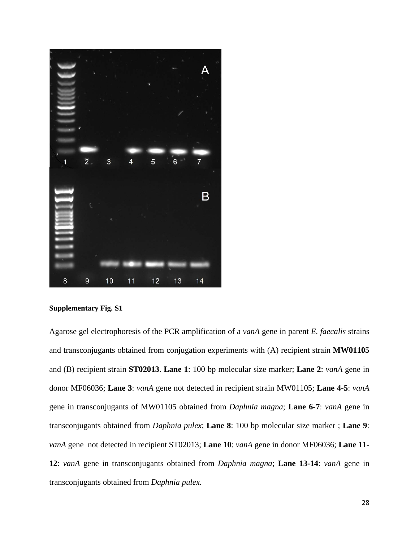

**Supplementary Fig. S1**

Agarose gel electrophoresis of the PCR amplification of a *vanA* gene in parent *E. faecalis* strains and transconjugants obtained from conjugation experiments with (A) recipient strain **MW01105** and (B) recipient strain **ST02013**. **Lane 1**: 100 bp molecular size marker; **Lane 2**: *vanA* gene in donor MF06036; **Lane 3**: *vanA* gene not detected in recipient strain MW01105; **Lane 4-5**: *vanA* gene in transconjugants of MW01105 obtained from *Daphnia magna*; **Lane 6-7**: *vanA* gene in transconjugants obtained from *Daphnia pulex*; **Lane 8**: 100 bp molecular size marker ; **Lane 9**: *vanA* gene not detected in recipient ST02013; **Lane 10**: *vanA* gene in donor MF06036; **Lane 11- 12**: *vanA* gene in transconjugants obtained from *Daphnia magna*; **Lane 13-14**: *vanA* gene in transconjugants obtained from *Daphnia pulex.*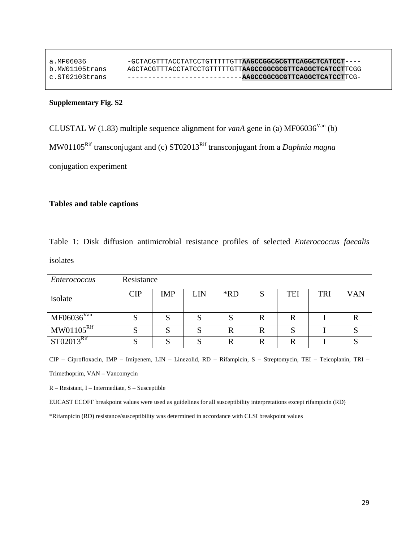| a.MF06036      | -GCTACGTTTACCTATCCTGTTTTTGTT <b>AAGCCGGCGCGTTCAGGCTCATCCT</b> ----  |
|----------------|---------------------------------------------------------------------|
| b.MW01105trans | AGCTACTTTTACCTATOCTGTTTTTTTTTA <b>AGCCGGCGCGTTCAGGCTCATCCT</b> TCGG |
| c.STO2103trans |                                                                     |

# **Supplementary Fig. S2**

CLUSTAL W (1.83) multiple sequence alignment for *vanA* gene in (a) MF06036<sup>Van</sup> (b) MW01105Rif transconjugant and (c) ST02013Rif transconjugant from a *Daphnia magna* conjugation experiment

# **Tables and table captions**

Table 1: Disk diffusion antimicrobial resistance profiles of selected *Enterococcus faecalis* isolates

| <i>Enterococcus</i>    | Resistance |            |            |     |   |     |            |     |
|------------------------|------------|------------|------------|-----|---|-----|------------|-----|
| isolate                | <b>CIP</b> | <b>IMP</b> | <b>LIN</b> | *RD | S | TEI | <b>TRI</b> | VAN |
| MF06036 <sup>Van</sup> |            | O          |            | د   |   |     |            |     |
| $M W 01105^R$          |            | S          |            | R   | R | S   |            |     |
| ST02013 <sup>Rif</sup> |            |            |            | R   |   |     |            |     |

CIP – Ciprofloxacin, IMP – Imipenem, LIN – Linezolid, RD – Rifampicin, S – Streptomycin, TEI – Teicoplanin, TRI – Trimethoprim, VAN – Vancomycin

R – Resistant, I – Intermediate, S – Susceptible

EUCAST ECOFF breakpoint values were used as guidelines for all susceptibility interpretations except rifampicin (RD)

\*Rifampicin (RD) resistance/susceptibility was determined in accordance with CLSI breakpoint values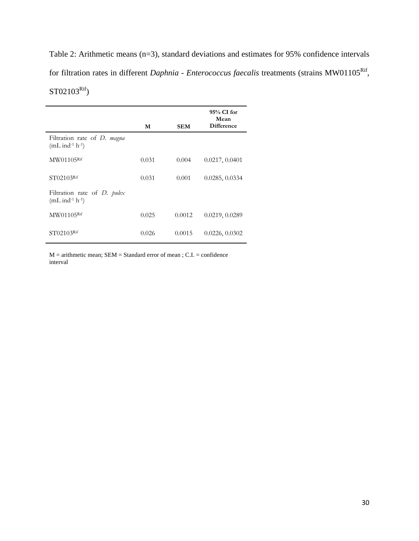Table 2: Arithmetic means (n=3), standard deviations and estimates for 95% confidence intervals for filtration rates in different *Daphnia* - *Enterococcus faecalis* treatments (strains MW01105<sup>Rif</sup>,  $ST02103<sup>Rif</sup>$ )

|                                                                      | M     | <b>SEM</b> | 95% CI for<br>Mean<br><b>Difference</b> |
|----------------------------------------------------------------------|-------|------------|-----------------------------------------|
| Filtration rate of D. magna<br>$(mL \text{ ind-1} h^{-1})$           |       |            |                                         |
| MW01105Rif                                                           | 0.031 | 0.004      | 0.0217, 0.0401                          |
| $ST02103$ <sup>Rif</sup>                                             | 0.031 | 0.001      | 0.0285, 0.0334                          |
| Filtration rate of <i>D. pulex</i><br>$(mL \text{ ind}^{-1} h^{-1})$ |       |            |                                         |
| $M W01105$ <sup>Rif</sup>                                            | 0.025 | 0.0012     | 0.0219, 0.0289                          |
| ST02103 <sup>Rif</sup>                                               | 0.026 | 0.0015     | 0.0226, 0.0302                          |

M = arithmetic mean; SEM = Standard error of mean ; C.I. = confidence interval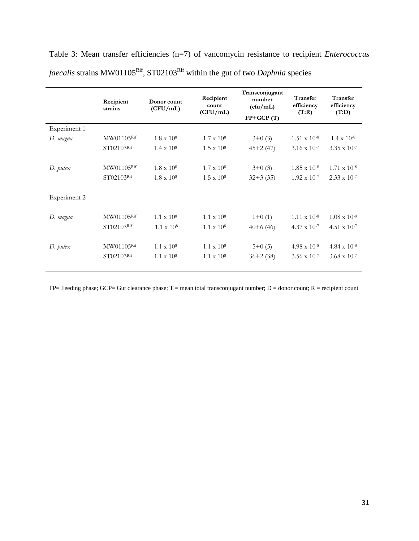|              | Recipient<br>strains     | Donor count<br>(CFU/mL)                | Recipient<br>count<br>(CFU/mL)         | Transconjugant<br>number<br>(cfu/mL)<br>$FP+GCP(T)$ | Transfer<br>efficiency<br>(T:R)                | Transfer<br>efficiency<br>(T:D)                         |
|--------------|--------------------------|----------------------------------------|----------------------------------------|-----------------------------------------------------|------------------------------------------------|---------------------------------------------------------|
| Experiment 1 |                          |                                        |                                        |                                                     |                                                |                                                         |
| D. magna     | MW01105Rif               | $1.8 \times 10^8$                      | $1.7 \times 10^8$                      | $3+0(3)$                                            | $1.51 \times 10^{-8}$                          | $1.4 \times 10^{-8}$                                    |
|              | ST02103Rif               | $1.4 \times 10^8$                      | $1.5 \times 10^8$                      | $45+2(47)$                                          | $3.16 \times 10^{-7}$                          | $3.35 \times 10^{-7}$                                   |
| $D.$ pulex   | MW01105Rif<br>ST02103Rif | $1.8 \times 10^8$<br>$1.8 \times 10^8$ | $1.7 \times 10^8$<br>$1.5 \times 10^8$ | $3+0(3)$<br>$32+3(35)$                              | $1.85 \times 10^{-8}$<br>$1.92 \times 10^{-7}$ | $1.71 \times 10^{-8}$<br>$2.33 \times 10^{-7}$          |
| Experiment 2 |                          |                                        |                                        |                                                     |                                                |                                                         |
| D. magna     | MW01105Rif<br>ST02103Rif | $1.1 \times 10^8$<br>$1.1 \times 10^8$ | $1.1 \times 10^8$<br>$1.1 \times 10^8$ | $1+0(1)$<br>$40+6(46)$                              | $1.11 \times 10^{-8}$<br>$4.37 \times 10^{-7}$ | $1.08 \times 10^{-8}$<br>4.51 $\times$ 10 <sup>-7</sup> |
| $D.$ pulex   | MW01105Rif<br>ST02103Rif | $1.1 \times 10^8$<br>$1.1 \times 10^8$ | $1.1 \times 10^8$<br>$1.1 \times 10^8$ | $5+0(5)$<br>$36+2(38)$                              | $4.98 \times 10^{-8}$<br>$3.56 \times 10^{-7}$ | $4.84 \times 10^{-8}$<br>$3.68 \times 10^{-7}$          |

Table 3: Mean transfer efficiencies (n=7) of vancomycin resistance to recipient *Enterococcus faecalis* strains MW01105<sup>Rif</sup>, ST02103<sup>Rif</sup> within the gut of two *Daphnia* species

 $FP=$  Feeding phase; GCP= Gut clearance phase;  $T =$  mean total transconjugant number;  $D =$  donor count;  $R =$  recipient count